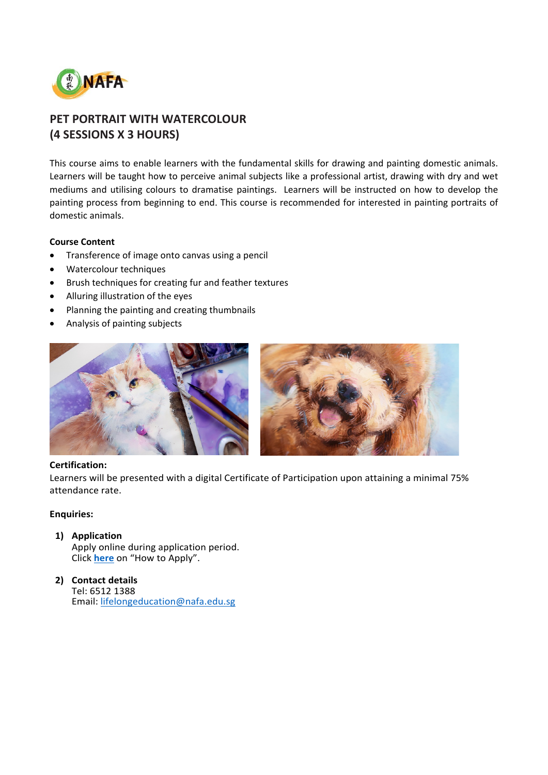

# **PET PORTRAIT WITH WATERCOLOUR (4 SESSIONS X 3 HOURS)**

This course aims to enable learners with the fundamental skills for drawing and painting domestic animals. Learners will be taught how to perceive animal subjects like a professional artist, drawing with dry and wet mediums and utilising colours to dramatise paintings. Learners will be instructed on how to develop the painting process from beginning to end. This course is recommended for interested in painting portraits of domestic animals.

# **Course Content**

- Transference of image onto canvas using a pencil
- Watercolour techniques
- Brush techniques for creating fur and feather textures
- Alluring illustration of the eyes
- Planning the painting and creating thumbnails
- Analysis of painting subjects



## **Certification:**

Learners will be presented with a digital Certificate of Participation upon attaining a minimal 75% attendance rate.

## **Enquiries:**

# **1) Application**

Apply online during application period. Click **[here](https://www.nafa.edu.sg/courses/part-time/short-courses#collapseFive)** on "How to Apply".

**2) Contact details** Tel: 6512 1388 Email: [lifelongeducation@nafa.edu.sg](mailto:lifelongeducation@nafa.edu.sg)